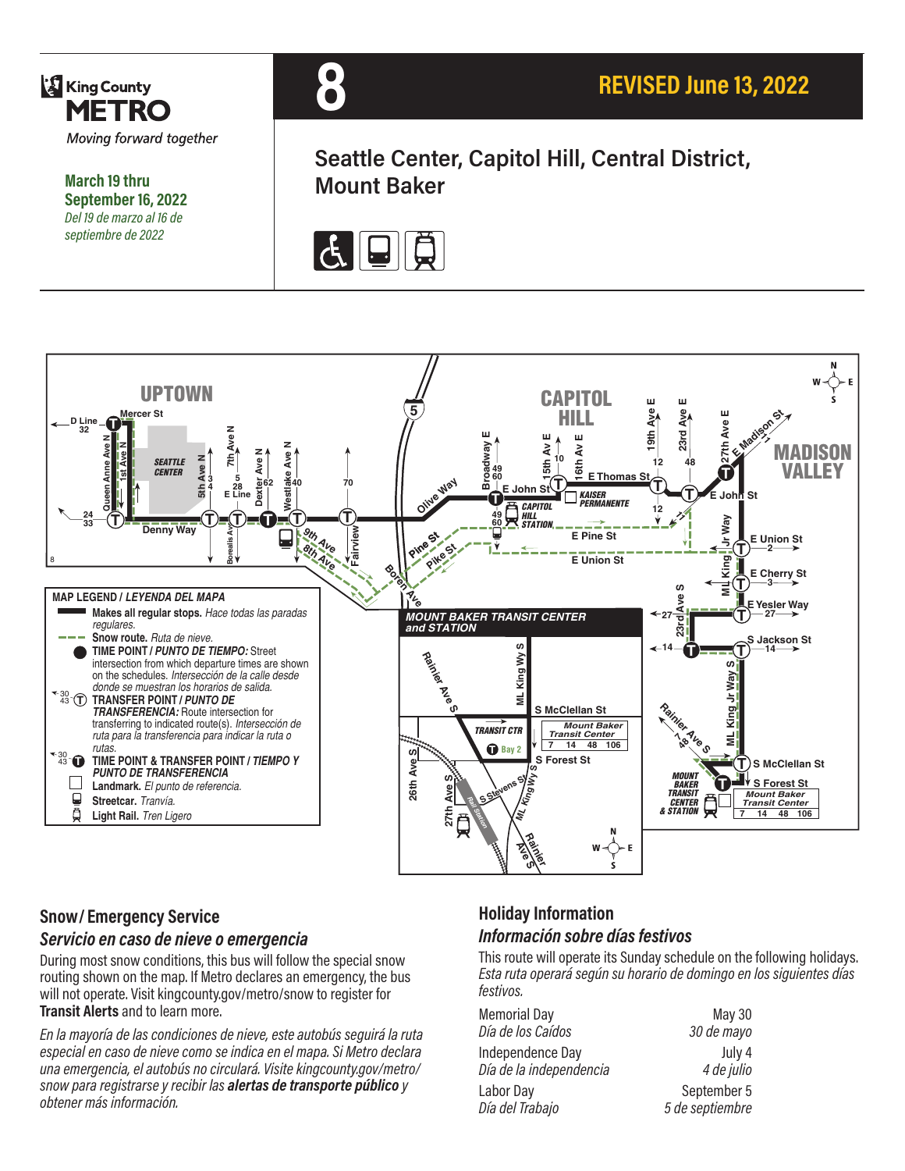

**March 19 thru September 16, 2022** *Del 19 de marzo al 16 de septiembre de 2022*



**Seattle Center, Capitol Hill, Central District, Mount Baker**





#### **Snow/ Emergency Service**

#### *Servicio en caso de nieve o emergencia*

During most snow conditions, this bus will follow the special snow routing shown on the map. If Metro declares an emergency, the bus will not operate. Visit kingcounty.gov/metro/snow to register for **Transit Alerts** and to learn more.

*En la mayoría de las condiciones de nieve, este autobús seguirá la ruta especial en caso de nieve como se indica en el mapa. Si Metro declara una emergencia, el autobús no circulará. Visite kingcounty.gov/metro/ snow para registrarse y recibir las alertas de transporte público y obtener más información.*

#### **Holiday Information** *Información sobre días festivos*

This route will operate its Sunday schedule on the following holidays. *Esta ruta operará según su horario de domingo en los siguientes días festivos.*

| <b>Memorial Day</b>     | May 30          |
|-------------------------|-----------------|
| Día de los Caídos       | 30 de mayo      |
| Independence Day        | July 4          |
| Día de la independencia | 4 de julio      |
| Labor Day               | September 5     |
| Día del Trabajo         | 5 de septiembre |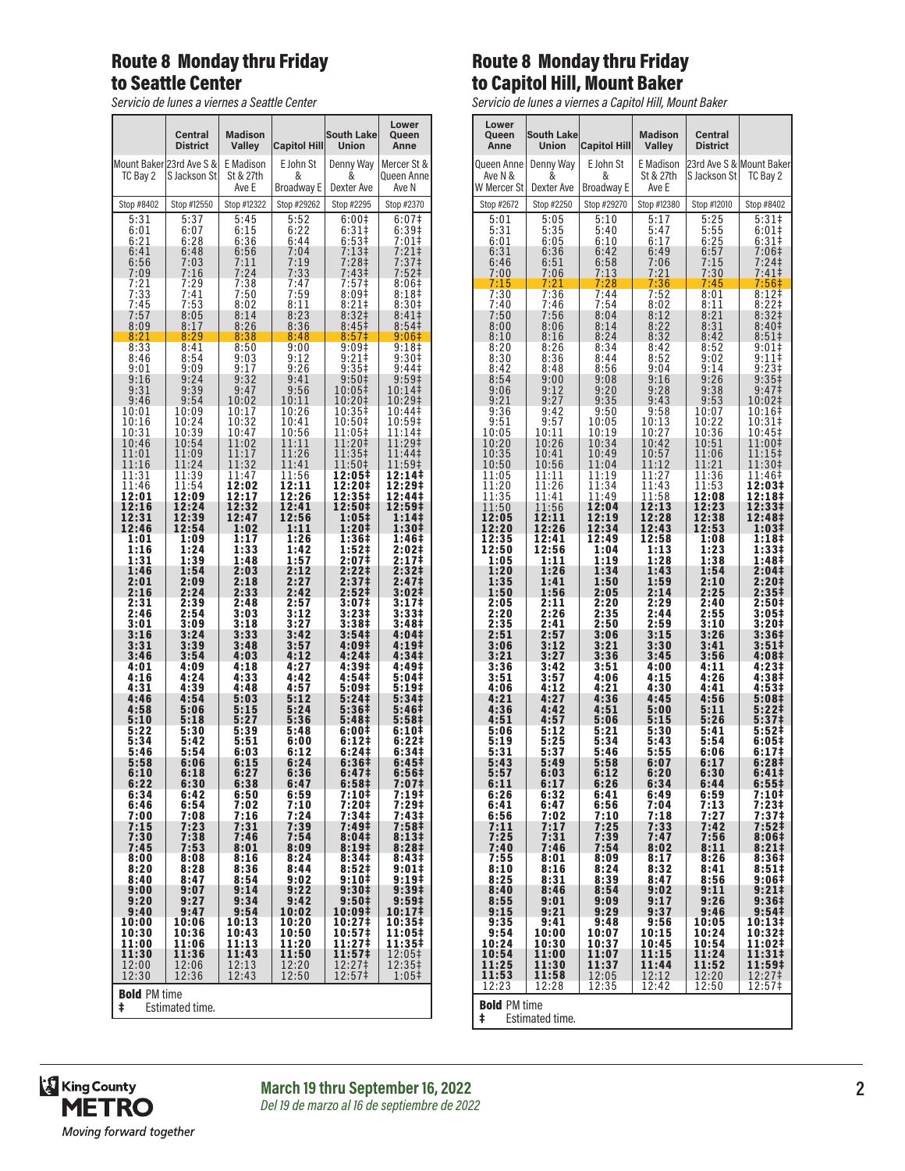## Route 8 Monday thru Friday to Seattle Center

*Servicio de lunes a viernes a Seattle Center*

|                | Central<br><b>District</b>               | <b>Madison</b><br><b>Valley</b> | <b>Capitol Hill</b>          | South Lake<br>Union          | Lower<br>Queen<br>Anne              |  |
|----------------|------------------------------------------|---------------------------------|------------------------------|------------------------------|-------------------------------------|--|
| TC Bay 2       | Mount Baker 23rd Ave S &<br>S Jackson St | E Madison<br>St & 27th<br>Ave E | E John St<br>&<br>Broadway E | Denny Way<br>&<br>Dexter Ave | Mercer St &<br>Queen Annel<br>Ave N |  |
| Stop #8402     | Stop #12550                              | Stop #12322                     | Stop #29262                  | Stop #2295                   | Stop #2370                          |  |
| 5:31           | 5:37                                     | 5:45                            | 5:52<br>6:22                 | 6:00‡                        | 6:07‡                               |  |
| 6:01           | 6:07                                     | 6:15                            |                              | $6:31\dagger$                | 6:39 <sup>‡</sup>                   |  |
| 6:21           | 6:28                                     | 6:36                            | 6:44                         | 6:53‡                        | 7:01‡                               |  |
| 6:41           | 6:48                                     | 6:56                            | 7:04                         | $7:13+$                      | $7:21+$                             |  |
| 6:56           | 7:03                                     | 7:11                            | 7:19                         | 7:28‡                        | 7:37 <sup>‡</sup>                   |  |
| 7:09           | 7:16                                     | 7:24                            | 7:33                         | 7:43‡                        | 7:52‡                               |  |
| 7:21           | 7:29                                     | 7:38                            | 7:47                         | 7:57‡                        | 8:06‡                               |  |
| 7:33           | 7:41                                     | 7:50                            | 7:59                         | 8:09 <sup>‡</sup>            | 8:18‡                               |  |
| 7:45           | 7:53                                     | 8:02                            | 8:11                         | $8:21$ ‡                     | 8:30‡                               |  |
| 7:57           | 8:05                                     | 8:14                            | 8:23                         | 8:32 <sup>‡</sup>            | $8:41\ddagger$                      |  |
| 8:09           | 8:17                                     | 8:26                            | 8:36                         | 8:45‡                        | 8:54‡                               |  |
| 8:21           | 8:29                                     | 8:38                            | 8:48                         | 8:57‡                        | 9:06‡                               |  |
| 8:33           | 8:41                                     | 8:50                            | 9:00                         | 9:09‡                        | 9:18‡                               |  |
| 8:46           | 8:54                                     | 9:03                            | 9:12                         | $9:21$ ‡                     | $9:30+$                             |  |
| 9:01           | 9:09                                     | 9:17                            | 9:26                         | 9:35 <sup>‡</sup>            | 9:44 <sup>‡</sup>                   |  |
| 9:16           | 9:24                                     | 9:32                            | 9:41                         | $9:50$ ‡                     | 9:59‡                               |  |
| 9:31           | 9:39                                     | 9:47                            | 9:56                         | 10:05‡                       | 10:14‡                              |  |
| 9:46           | 9:54                                     | 10:02                           | 10:11                        | 10:20‡                       | 10:29‡                              |  |
| 10:01          | 10:09                                    | 10:17                           | 10:26                        | 10:35‡                       | 10:44‡                              |  |
| 10:16          | 10:24                                    | 10:32                           | 10:41                        | 10:50‡                       | 10:59‡                              |  |
| 10:31          | 10:39                                    | 10:47                           | 10:56                        | 11:05‡                       | 11:14‡                              |  |
| 10:46          | 10:54                                    | 11:02                           | 11:11                        | 11:20‡                       | 11:29‡                              |  |
| 11:01          | 11:09                                    | 11:17                           | 11:26                        | 11:35‡                       | 11:44‡                              |  |
| 11:16          | 11:24                                    | 11:32                           | 11:41                        | 11:50‡                       | 11:59‡                              |  |
| 11:31          | 11:39                                    | 11:47                           | 11:56                        | 12:05‡                       | 12:14‡                              |  |
| 11:46          | 11:54                                    | 12:02                           | 12:11                        | 12:20‡                       | 12:29‡                              |  |
| 12:01          | 12:09                                    | 12:17                           | $\bar{1}\bar{2}$ :26         | 12:35‡                       | 12:44‡                              |  |
| 12:16          | 12:24                                    | 12:32                           | 12:41                        | 12:50‡                       | 12:59‡                              |  |
| 12:31          | 12:39                                    | 12:47                           | 12:56                        | 1:05‡                        | 1:14‡                               |  |
| 12:46          | 12:54                                    | 1:02                            | 1:11                         | 1:20‡                        | 1:30‡                               |  |
| 1:01           | 1:09                                     | 1:17                            | 1:26                         | 1:36‡                        | 1:46‡                               |  |
| 1:16           | 1:24                                     | 1:33                            | 1:42                         | 1:52‡                        | 2:02‡                               |  |
| 1:31           | 1:39                                     | 1:48                            | 1:57                         | 2:07‡                        | 2:17‡                               |  |
| 1:46           | 1:54                                     | 2:03                            | 2:12                         | $2:22 \;$                    | 2:32‡                               |  |
| 2:01           | 2:09                                     | 2:18                            | 2:27                         | 2:37‡                        | 2:47‡                               |  |
| 2:16<br>2:31   | 2:24<br>2:39                             | 2:33<br>2:48                    | 2:42<br>2:57                 | 2:52‡                        | 3:02‡                               |  |
| 2:46           | 2:54                                     | 3:03                            | 3:12                         | 3:07‡<br>3:23‡               | 3:17‡<br>3:33‡                      |  |
| 3:01           | 3:09                                     | 3:18                            | 3:27                         | 3:38 <sup>‡</sup>            | 3:48‡                               |  |
| 3:16           | 3:24                                     | 3:33                            | 3:42                         | 3:54‡                        | 4:04‡                               |  |
| 3:31           | 3:39                                     | 3:48                            | 3:57                         | 4:09‡                        | 4:19‡                               |  |
| 3:46           | 3:54                                     | 4:03                            | 4:12                         | 4:24‡                        | 4:34‡                               |  |
| 4:01           | 4:09                                     | 4:18                            | 4:27                         | 4:39‡                        | 4:49‡                               |  |
| 4:16           | 4:24                                     | 4:33                            | 4:42                         | 4:54‡                        | 5:04‡                               |  |
| 4:31           | 4:39                                     | 4:48                            | 4:57                         | 5:09‡                        | 5:19‡                               |  |
| 4:46           | 4:54                                     | 5:03                            | 5:12                         | 5:24‡                        | 5:34‡                               |  |
| 4:58           | 5:06                                     | 5:15                            | 5:24                         | 5:36‡                        | 5:46‡                               |  |
| 5:10           | 5:18                                     | 5:27                            | 5:36                         | 5:48‡                        | 5:58‡                               |  |
| 5:22           | 5:30                                     | 5:39                            | 5:48                         | 6:00‡                        | 6:10‡                               |  |
| 5:34           | 5:42                                     | 5:51                            | 6:00                         | 6:12‡                        | 6:22‡                               |  |
| 5:46           | 5:54                                     | 6:03                            | 6:12                         | 6:24‡                        | 6:34‡                               |  |
| 5:58           | 6:06                                     | 6:15                            | 6:24                         | 6:36#                        | 6:45#                               |  |
| 6:10           | 6:18                                     | 6:27                            | 6:36                         | 6:47‡                        | 6:56‡                               |  |
| 6:22           | 6:30                                     | 6:38                            | 6:47                         | 6:58 <sup>‡</sup>            | 7:07‡                               |  |
| 6:34           | 6:42                                     | 6:50                            | 6:59                         | 7:10‡                        | 7:19‡                               |  |
| 6:46           | 6:54                                     | 7:02                            | 7:10                         |                              | 7:29‡                               |  |
| 7:00           | 7:08                                     | 7:16                            | 7:24                         | 7:20‡<br>7:34‡               | $7:43+$                             |  |
| 7:15           | 7:23                                     | 7:31                            | 7:39                         | 7:49‡                        | 7:58‡                               |  |
| 7:30           | 7:38                                     | 7:46                            | 7:54                         | 8:04‡                        | 8:13‡                               |  |
| 7:45           | 7:53                                     | 8:01                            | 8:09                         | 8:19‡                        | 8:28‡                               |  |
| 8:00           | 8:08                                     | 8:16                            | 8:24                         | 8:34‡<br>8:52 <sup>‡</sup>   | 8:43‡                               |  |
| 8:20           | 8:28                                     | 8:36                            | 8:44                         | 9:10‡                        | 9:01‡                               |  |
| 8:40           | 8:47                                     | 8:54                            | 9:02                         |                              | 9:19‡                               |  |
| 9:00           | 9:07                                     | 9:14                            | 9:22                         | 9:30‡                        | 9:39‡                               |  |
| 9:20           | 9:27                                     | 9:34                            | 9:42                         | 9:50‡                        | 9:59‡                               |  |
| 9:40           | 9:47                                     | 9:54                            | 10:02                        | 10:09‡                       | 10:17‡                              |  |
| 10:00          | 10:06                                    | 10:13                           | 10:20                        | 10:27‡                       | 10:35‡                              |  |
| 10:30          | 10:36                                    | 10:43                           | 10:50                        | 10:57‡                       | 11:05‡                              |  |
| 11:00          | 11:06                                    | 11:13                           | 11:20                        | 11:27‡                       | 11:35‡                              |  |
| 11:30          | 11:36                                    | 11:43                           | 11:50                        | 11:57‡                       | 12:05‡                              |  |
| 12:00<br>12:30 | 12:06<br>12:36                           | 12:13<br>12:43                  | 12:20<br>12:50               | $\frac{12:271}{12:571}$      | 12:35‡<br>1:05‡                     |  |
| ŧ              | <b>Bold PM</b> time<br>Estimated time.   |                                 |                              |                              |                                     |  |

## Route 8 Monday thru Friday to Capitol Hill, Mount Baker

*Servicio de lunes a viernes a Capitol Hill, Mount Baker*

| Lower<br>Queen<br>Anne               | <b>South Lake</b><br><b>Union</b> | <b>Capitol Hill</b>                  | <b>Madison</b><br><b>Valley</b> | <b>Central</b><br>District       |                                                                |
|--------------------------------------|-----------------------------------|--------------------------------------|---------------------------------|----------------------------------|----------------------------------------------------------------|
| Queen Anne<br>Ave N &<br>W Mercer St | Denny Way<br>&<br>Dexter Ave      | E John St<br>&<br>Broadway E         | E Madison<br>St & 27th<br>Ave E | S Jackson St                     | 23rd Ave S & Mount Baker<br>TC Bay 2                           |
| Stop #2672                           | Stop #2250                        | Stop #29270                          | Stop #12380                     | Stop #12010                      | Stop #8402                                                     |
| 5:01                                 | 5:05                              | 5:10                                 | 5:17                            | 5:25                             | 5:31                                                           |
| 5:31                                 | 5:35                              | 5:40                                 | 5:47                            | 5:55                             | 6:01‡                                                          |
| 6:01                                 | 6:05                              | 6:10                                 | 6:17                            | 6:25                             | 6:31‡                                                          |
| 6:31                                 | 6:36                              | 6:42                                 | 6:49                            | 6:57                             | 7:06#                                                          |
| 6:46                                 | 6:51                              | 6:58                                 | 7:06                            | 7:15                             | 7:24‡                                                          |
| 7:00                                 | 7:06                              | 7:13                                 | 7:21                            | 7:30                             | 7:41                                                           |
| 7:15                                 | 7:21                              | 7:28                                 | 7:36                            | 7:45                             | 7:56 <sup>‡</sup>                                              |
| 7:30                                 | 7:36                              | 7:44                                 | $7:52$<br>$8:02$                | 8:01                             | 8:12                                                           |
| 7:40<br>7:50<br>8:00<br>8:10         | 7:46<br>7:56<br>8:06<br>8:16      | 7:54<br>8:04<br>8:14<br>8:24<br>8:34 | 8:12<br>8:22<br>8:32<br>8:42    | 8:11<br>8:21<br>8:31<br>8:42     | 8:22#<br>8:32‡<br>8:40 <sup>‡</sup><br>$8:51\ddagger$<br>9:01‡ |
| $\frac{8:20}{8:30}$<br>8:42<br>8:54  | $8:26$<br>$8:36$<br>8:48<br>9:00  | 8:44<br>8:56                         | 8:52<br>9:04<br>9:16            | $8:52$<br>$9:02$<br>9:14<br>9:26 | 9:11<br>9:23‡<br>9:35 <sup>‡</sup>                             |
| 9:06<br>$9:21$<br>$9:36$             | 9:12<br>9:27<br>9:42              | 9:08<br>9:20<br>9:35<br>9:50         | 9:28<br>9:43<br>9:58            | 9:38<br>9:53<br>10:07            | 9:47‡<br>10:02‡<br>10:16‡                                      |
| 9:51                                 | 9:57                              | 10:05                                | 10:13                           | 10:22                            | 10:31‡                                                         |
| 10:05                                | 10:11                             | 10:19                                | 10:27                           | 10:36                            | 10:45‡                                                         |
| 10:20                                | 10:26                             | 10:34                                | 10:42                           | 10:51                            | 11:00‡                                                         |
| 10:35                                | 10:41                             | 10:49                                | 10:57                           | 11:06                            | 11:15‡                                                         |
| 10:50                                | 10:56                             | 11:04                                | 11:12                           | 11:21                            | 11:30‡                                                         |
| 11:05                                | 11:11                             | 11:19                                | 11:27                           | 11:36                            | 11:46‡                                                         |
| 11:20                                | 11:26                             | 11:34                                | 11:43                           | 11:53                            | 12:03‡                                                         |
| 11:35                                | 11:41                             | 11:49                                | 11:58                           | 12:08                            | 12:18‡                                                         |
| 11:50                                | 11:56                             | 12:04                                | 12:13                           | 12:23                            | 12:33‡                                                         |
| 12:05                                | 12:11                             | 12:19                                | 12:28                           | 12:38                            | 12:48‡                                                         |
| 12:20                                | 12:26                             | 12:34                                | 12:43                           | 12:53                            | $1:03+$                                                        |
| 12:35                                | 12:41                             | 12:49                                | 12:58                           | 1:08                             | 1:18‡                                                          |
| 12:50                                | 12:56                             | 1:04                                 | 1:13                            | 1:23                             | 1:33‡                                                          |
| 1:05                                 | 1:11                              | 1:19                                 | 1:28                            | 1:38                             | 1:48‡                                                          |
| 1:20                                 | 1:26                              | 1:34                                 | 1:43                            | 1:54                             | 2:04‡                                                          |
| 1:35                                 | 1:41                              | 1:50                                 | 1:59                            | 2:10                             | 2:20‡                                                          |
| 1:50                                 | 1:56                              | 2:05                                 | 2:14                            | 2:25                             | 2:35 <sup>‡</sup>                                              |
| 2:05                                 | 2:11                              | 2:20                                 | 2:29                            | 2:40                             | 2:50‡                                                          |
| 2:20                                 | 2:26                              | 2:35                                 | 2:44                            | 2:55                             | 3:05‡                                                          |
| 2:35                                 | 2:41                              | 2:50                                 | 2:59                            | 3:10                             | 3:20‡                                                          |
| 2:51                                 | 2:57                              | 3:06                                 | 3:15                            | 3:26                             | 3:36‡                                                          |
| 3:06                                 | 3:12                              | 3:21                                 | 3:30                            | 3:41                             | 3:51‡                                                          |
| 3:21                                 | 3:27                              | 3:36                                 | 3:45                            | 3:56                             | 4:08‡                                                          |
| 3:36                                 | 3:42                              | 3:51                                 | 4:00                            | 4:11                             | 4:23‡                                                          |
| 3:51                                 | 3:57                              | 4:06                                 | 4:15                            | 4:26                             | 4:38 <sup>‡</sup>                                              |
| 4:06                                 | 4:12                              | 4:21                                 | 4:30                            | 4:41                             | 4:53‡                                                          |
| 4:21                                 | 4:27                              | 4:36                                 | 4:45                            | 4:56                             | 5:08‡                                                          |
| 4:36                                 | 4:42                              | 4:51                                 | 5:00                            | 5:11                             | 5:22‡                                                          |
| 4:51                                 | 4:57                              | 5:06                                 | 5:15                            | 5:26                             | 5:37‡                                                          |
| 5:06                                 | 5:12                              | 5:21                                 | 5:30                            | 5:41                             | 5:52‡                                                          |
| 5:19                                 | 5:25                              | 5:34                                 | 5:43                            | 5:54                             | 6:05‡                                                          |
| 5:31                                 | 5:37                              | 5:46                                 | 5:55                            | 6:06                             | 6:17‡                                                          |
| 5:43                                 | 5:49                              | 5:58                                 | 6:07                            | 6:17                             | 6:281                                                          |
| 5:57                                 | 6:03                              | 6:12                                 | 6:20                            | 6:30                             | 6:41‡                                                          |
| 6:11                                 | 6:17                              | 6:26                                 | 6:34                            | 6:44                             | 6:551                                                          |
| 6:26                                 | 6:32                              | 6:41                                 | 6:49                            | 6:59                             | 7:10‡                                                          |
| 6:41                                 | 6:47                              | 6:56                                 | 7:04                            | 7:13                             | $7:23+$                                                        |
| 6:56<br>7:11<br>7:25                 | 7:02<br>7:17<br>7:31              | 7:10<br>7:25<br>7:39                 | 7:18<br>7:33<br>7:47            | 7:27<br>7:42<br>7:56             | 7:37‡<br>7:52‡<br>8:06#<br>8:21#                               |
| 7:40<br>7:55<br>8:10<br>8:25         | 7:46<br>8:01<br>8:16<br>8:31      | 7:54<br>8:09<br>8:24<br>8:39         | 8:02<br>8:17<br>8:32<br>8:47    | 8:11<br>8:26<br>8:41<br>8:56     | 8:36#<br>$8:51\ddagger$<br>9:06‡                               |
| 8:40                                 | 8:46                              | 8:54                                 | 9:02                            | 9:11                             | 9:21‡                                                          |
| 8:55                                 | 9:01                              | 9:09                                 | 9:17                            | 9:26                             | 9:36‡                                                          |
| 9:15                                 | 9:21                              | 9:29                                 | 9:37                            | 9:46                             | 9:54‡                                                          |
| 9:35                                 | 9:41                              | 9:48                                 | 9:56                            | 10:05                            | 10:13‡                                                         |
| 9:54                                 | 10:00                             | 10:07                                | 10:15                           | 10:24                            | 10:32‡                                                         |
| 10:24                                | 10:30                             | 10:37                                | 10:45                           | 10:54                            | 11:02‡                                                         |
| 10:54                                | 11:00                             | 11:07                                | 11:15                           | 11:24                            | 11:31‡                                                         |
| 11:25                                | 11:30                             | 11:37                                | 11:44                           | 11:52                            | 11:59‡                                                         |
| 11:53                                | 11:58                             | 12:05                                | 12:12                           | 12:20                            | 12:27‡                                                         |
| 12:23                                | 12:28                             | 12:35                                | 12:42                           | 12:50                            | 12:57‡                                                         |
| <b>Bold PM time</b>                  |                                   |                                      |                                 |                                  |                                                                |

‡ Estimated time.

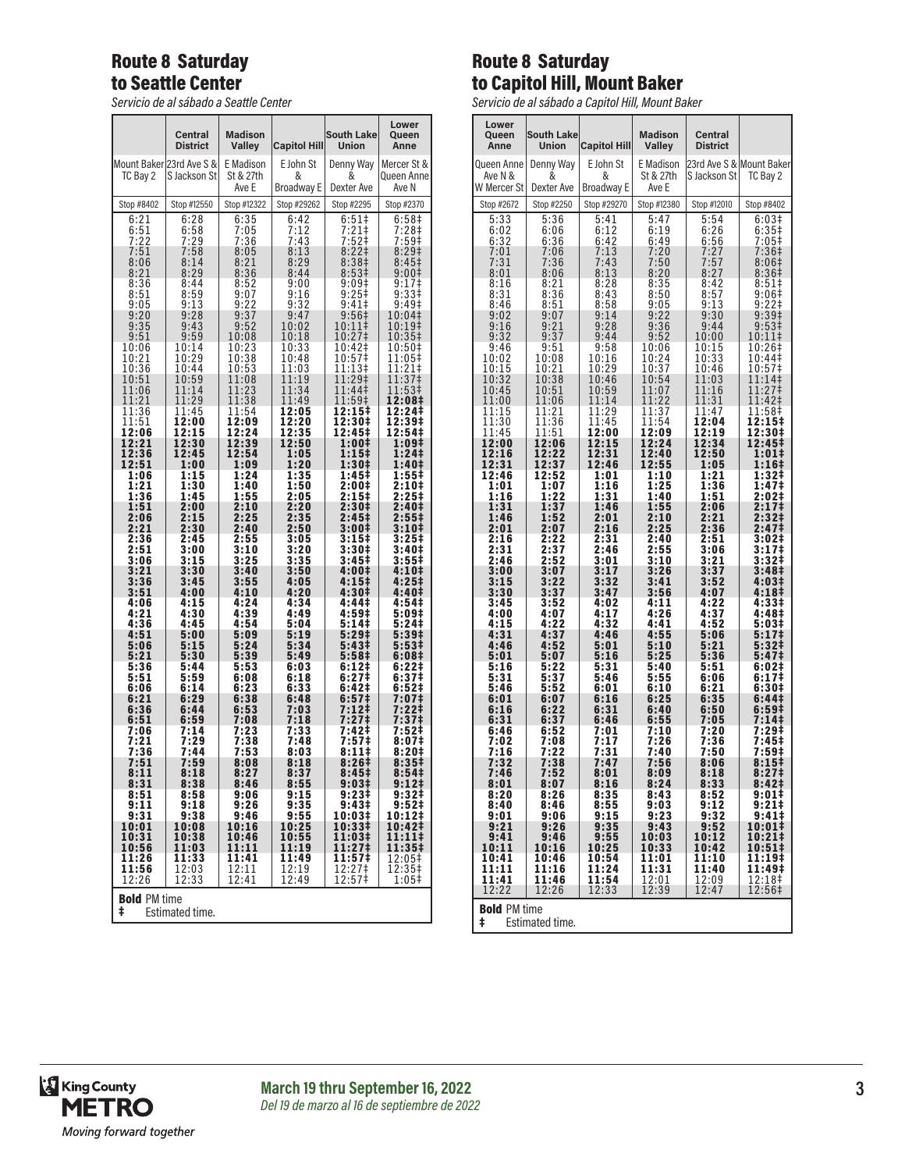## Route 8 Saturday to Seattle Center

*Servicio de al sábado a Seattle Center*

|                                             | <b>Central</b><br><b>District</b> | <b>Madison</b><br>Valley | <b>Capitol Hill</b> | <b>South Lake</b><br><b>Union</b> | Lower<br>Queen<br>Anne       |
|---------------------------------------------|-----------------------------------|--------------------------|---------------------|-----------------------------------|------------------------------|
|                                             | Mount Baker 23rd Ave S &          | E Madison<br>St & 27th   | E John St<br>&      | Denny Way<br>&                    | Mercer St &<br>Queen Anne    |
| TC Bay 2                                    | S Jackson St                      | Ave E                    | Broadway E          | Dexter Ave                        | Ave N                        |
| Stop #8402                                  | Stop #12550                       | Stop #12322              | Stop #29262         | Stop #2295                        | Stop #2370                   |
| 6:21                                        | 6:28<br>6:58                      | 6:35<br>7:05             | 6:42<br>7:12        | $6:51$<br>7:21‡                   | 6:58 <sup>‡</sup><br>7:28‡   |
| $\frac{6:51}{7:22}$<br>7:51                 | 7:29                              | 7:36                     | 7:43                | 7:52‡                             | 7:59‡<br>8:29‡               |
| 8:06                                        | 7:58<br>8:14                      | 8:05<br>8:21             | 8:13<br>8:29        | 8:221<br>8:38 <sup>‡</sup>        | 8:45 <sup>‡</sup>            |
| 8:21<br>8:36                                | 8:29<br>8:44                      | 8:36<br>8:52             | 8:44<br>9:00        | 8:53 <sup>‡</sup><br>9:09‡        | 9:001<br>9:17‡               |
| 8:51                                        | 8:59                              | 9:07                     | 9:16                | 9:25‡                             | 9:33 <sup>‡</sup>            |
| 9:05<br>9:20                                | 9:13<br>9:28                      | 9:22<br>9:37             | 9:32<br>9:47        | 9:41<br>9:56‡                     | 9:49 <sup>‡</sup><br>10:04‡  |
| 9:35<br>9:51                                | 9:43<br>9:59                      | 9:52<br>10:08            | 10:02<br>10:18      | 10:11‡<br>10:27‡                  | 10:19‡<br>10:35‡             |
| 10:06                                       | 10:14                             | 10:23                    | 10:33               | 10:42‡                            | 10:50‡                       |
| 10:21<br>10:36                              | 10:29<br>10:44                    | 10:38<br>10:53           | 10:48<br>11:03      | 10:57‡<br>11:13‡                  | 11:05‡<br>11:21‡             |
| 10:51                                       | 10:59<br>11:14                    | 11:08                    | 11:19<br>11:34      | 11:29‡<br>11:44‡                  | 11:37‡<br>11:53‡             |
| 11:06<br>11:21                              | 11:29                             | 11:23<br>11:38           | 11:49               | 11:59‡                            | 12:08‡                       |
| 11:36<br>11:51                              | 11:45<br>12:00                    | 11:54<br>12:09           | 12:05<br>12:20      | 12:15‡<br>12:30‡                  | 12:24‡<br>12:39‡             |
| 12:06                                       | 12:15<br>12:30                    | 12:24                    | 12:35               | 12:45‡                            | 12:54‡                       |
| 12:21<br>12:36                              | 12:45                             | 12:39<br>12:54           | 12:50<br>1:05       | 1:00‡<br>1:15‡                    | 1:09‡<br>1:24 <sup>‡</sup>   |
| 12:51<br>1:06                               | 1:00<br>1:15                      | 1:09<br>1:24             | 1:20<br>1:35        | 1:30‡<br>1:45‡                    | 1:40‡<br>1:55‡               |
| 1:21                                        | 1:30                              | 1:40                     | 1:50                | 2:00‡                             | 2:10‡                        |
| 1:36<br>1:51                                | 1:45<br>2:00                      | 1:55<br>2:10             | 2:05<br>2:20        | 2:15‡<br>2:30‡                    | 2:25‡<br>2:40‡               |
| 2:06<br>2:21                                | 2:15<br>2:30                      | 2:25<br>2:40             | 2:35<br>2:50        | 2:45 <sup>‡</sup><br>3:00‡        | 2:55‡<br>3:10‡               |
| 2:36                                        | 2:45                              | 2:55                     | 3:05                | 3:15‡                             | 3:25‡                        |
| 2:51<br>3:06                                | 3:00<br>3:15                      | 3:10<br>3:25             | 3:20<br>3:35        | 3:30‡<br>3:45‡                    | 3:40‡<br>3:55‡               |
| 3:21<br>3:36                                | 3:30<br>3:45                      | 3:40<br>3:55             | 3:50<br>4:05        | 4:00‡<br>4:15‡                    | 4:10#<br>4:25‡               |
| 3:51                                        | 4:00                              | 4:10                     | 4:20                | 4:30‡                             | 4:40‡                        |
| 4:06<br>4:21                                | 4:15<br>4:30                      | 4:24<br>4:39             | 4:34<br>4:49        | 4:44‡<br>4:59‡                    | 4:54‡<br>5:09‡               |
| 4:36<br>4:51                                | 4:45<br>5:00                      | 4:54<br>5:09             | 5:04<br>5:19        | 5:141<br>5:29‡                    | 5:24‡<br>5:39‡               |
| 5:06                                        | 5:15                              | 5:24                     | 5:34                | 5:43‡                             | 5:53‡                        |
| 5:21<br>5:36                                | 5:30<br>5:44                      | 5:39<br>5:53             | 5:49<br>6:03        | 5:58 <sup>‡</sup><br>6:12‡        | 6:08‡<br>6:22‡               |
| 5:51                                        | 5:59                              | 6:08<br>6:23             | 6:18                | 6:27‡<br>6:42‡                    | 6:37 <sup>‡</sup><br>6:52‡   |
| 6:06<br>6:21                                | 6:14<br>6:29                      | 6:38                     | 6:33<br>6:48        | 6:57‡                             | 7:07‡                        |
| 6:36<br>6:51                                | 6:44<br>6:59                      | 6:53<br>7:08             | 7:03<br>7:18        | 7:12‡<br>7:27‡                    | 7:22‡<br>7:37‡               |
| 7:06                                        | 7:14                              | 7:23                     | 7:33                | 7:42‡                             | 7:52‡                        |
| 7:21<br>7:36                                | 7:29<br>7:44                      | 7:38<br>7:53             | 7:48<br>8:03        | 7:57‡<br>$8:11+$                  | 8:07‡<br>8:20‡               |
| 7:51<br>8:11                                | 7:59<br>8:18                      | 8:08<br>8:27             | 8:18<br>8:37        | 8:26#<br>8:45‡                    | 8:35#<br>8:54 <sup>‡</sup>   |
| 8:31                                        | 8:38                              | 8:46                     | 8:55                | 9:03‡                             | $9:12+$                      |
| 8:51<br>9:11                                | 8:58<br>9:18                      | 9:06<br>9:26             | 9:15<br>9:35        | 9:23‡<br>$9:43\frac{1}{4}$        | 9:32 <sup>‡</sup><br>$9:52+$ |
| 9:31<br>10:01                               | 9:38<br>10:08                     | 9:46<br>10:16            | 9:55<br>10:25       | 10:03‡<br>10:33‡                  | 10:12‡<br>10:42‡             |
| 10:31                                       | 10:38                             | 10:46                    | 10:55               | 11:03‡                            | 11:11‡                       |
| 10:56<br>11:26                              | 11:03<br>11:33                    | 11:11<br>11:41           | 11:19<br>11:49      | 11:27‡<br>11:57‡                  | 11:35‡<br>12:05‡             |
| 11:56<br>12:26                              | 12:03<br>12:33                    | 12:11<br>12:41           | 12:19<br>12:49      | 12:27‡<br>12:57‡                  | 12:35‡<br>1:05‡              |
| <b>Bold PM time</b><br>ŧ<br>Estimated time. |                                   |                          |                     |                                   |                              |

## Route 8 Saturday to Capitol Hill, Mount Baker

*Servicio de al sábado a Capitol Hill, Mount Baker*

| Lower<br>Queen<br>Anne                      | <b>South Lake</b><br><b>Union</b> | <b>Capitol Hill</b>    | <b>Madison</b><br>Valley | <b>Central</b><br><b>District</b> |                          |
|---------------------------------------------|-----------------------------------|------------------------|--------------------------|-----------------------------------|--------------------------|
| Queen Anne                                  | Denny Way                         | E John St              | E Madison                |                                   | 23rd Ave S & Mount Baker |
| Ave N &<br>W Mercer St                      | &<br>Dexter Ave                   | &<br><b>Broadway E</b> | St & 27th<br>Ave E       | S Jackson St                      | TC Bay 2                 |
| Stop #2672                                  | Stop #2250                        | Stop #29270            | Stop #12380              | Stop #12010                       | Stop #8402               |
| 5:33                                        | 5:36                              | 5:41                   | 5:47                     | $5:54$<br>$6:26$                  | 6:03#                    |
| 6:02                                        | 6:06                              | 6:12                   | 6:19                     | $6:56$<br>7:27                    | 6:35 <sup>‡</sup>        |
| 6:32                                        | 6:36                              | 6:42                   | 6:49                     |                                   | 7:05‡                    |
| 7:01                                        | 7:06                              | 7:13                   | 7:20                     | 7:57                              | 7:36‡                    |
| 7:31                                        | 7:36                              | 7:43                   | 7:50                     |                                   | 8:06‡                    |
| 8:01                                        | 8:06                              | 8:13                   | 8:20                     | 8:27                              | 8:36‡                    |
| 8:16                                        | 8:21                              | 8:28                   | 8:35                     | 8:42                              | $8:51\ddagger$           |
| 8:31                                        | 8:36                              | 8:43                   | 8:50                     | 8:57                              | 9:06‡                    |
| 8:46                                        | 8:51                              | 8:58                   | 9:05                     | 9:13                              | $9:22$ ‡                 |
| 9:02                                        | 9:07                              | 9:14                   | 9:22                     | 9:30                              | 9:39‡                    |
| $9:16$<br>$9:32$                            | $9:21$<br>$9:37$                  | 9:28                   | 9:36                     | 9:44                              | 9:53 <sup>‡</sup>        |
| 9:46                                        | 9:51                              | 9:44<br>9:58           | 9:52<br>10:06            | 10:00<br>10:15                    | 10:11‡<br>10:26‡         |
| 10:02                                       | 10:08                             | 10:16                  | 10:24                    | 10:33                             | 10:44‡<br>10:57‡         |
| 10:15                                       | 10:21                             | 10:29                  | 10:37                    | 10:46                             | 11:14‡                   |
| 10:32                                       | 10:38                             | 10:46                  | 10:54                    | 11:03                             |                          |
| 10:45                                       | 10:51                             | 10:59                  | 11:07                    | 11:16                             | 11:27‡                   |
| 11:00                                       | 11:06                             | 11:14                  | 11:22                    | 11:31                             | 11:42‡                   |
| 11:15                                       | 11:21                             | 11:29                  | 11:37                    | 11:47                             | 11:58‡                   |
| 11:30                                       | 11:36                             | 11:45                  | 11:54                    | 12:04                             | 12:15‡                   |
| 11:45                                       | 11:51                             | 12:00                  | 12:09                    | 12:19                             | 12:30‡                   |
| 12:00                                       | 12:06                             | 12:15                  | 12:24                    | 12:34                             | 12:45‡                   |
| 12:16                                       | 12:22                             | 12:31                  | 12:40                    | 12:50                             | 1:01‡                    |
| 12:31                                       | 12:37                             | 12:46                  | 12:55                    | 1:05                              | $1:16+$                  |
| 12:46                                       | 12:52                             | 1:01                   | 1:10                     | 1:21                              | 1:32‡                    |
| 1:01                                        | 1:07                              | 1:16                   | 1:25                     | 1:36                              | 1:47‡                    |
| 1:16                                        | 1:22                              | 1:31                   | 1:40                     | 1:51                              | 2:02‡                    |
| 1:31                                        | 1:37                              | 1:46                   | 1:55                     | 2:06                              | 2:17‡                    |
| 1:46                                        | 1:52                              | 2:01                   | 2:10                     | 2:21                              | $2:32+$                  |
| 2:01                                        | 2:07                              | 2:16                   | 2:25                     | 2:36                              | 2:47 <sup>‡</sup>        |
| 2:16                                        | 2:22                              | 2:31                   | 2:40                     | 2:51                              | 3:02‡                    |
| 2:31                                        | 2:37                              | 2:46                   | 2:55                     | 3:06                              | 3:17‡                    |
| 2:46                                        | 2:52                              |                        | 3:10                     | 3:21                              | 3:32‡                    |
| 3:00                                        | 3:07                              | 3:01<br>3:17           | 3:26                     | 3:37                              | 3:48 <sup>‡</sup>        |
| 3:15                                        | 3:22                              | 3:32                   | 3:41                     | 3:52                              | 4:03‡                    |
| 3:30                                        | 3:37                              | 3:47                   | 3:56                     | 4:07                              | 4:18‡                    |
| 3:45                                        | 3:52                              | 4:02                   | 4:11                     | 4:22                              | 4:33‡                    |
| 4:00                                        | 4:07                              | 4:17                   | 4:26                     | 4:37                              | 4:48‡                    |
| 4:15                                        | 4:22                              | 4:32                   | 4:41                     | 4:52                              | 5:03‡                    |
| 4:31                                        | 4:37                              | 4:46                   | 4:55                     | 5:06                              | 5:17‡                    |
| 4:46                                        | 4:52                              | 5:01                   | 5:10                     | 5:21                              | 5:32‡                    |
| 5:01                                        | 5:07                              | 5:16                   | 5:25                     | 5:36                              | 5:47‡                    |
| 5:16                                        | 5:22                              | 5:31                   | 5:40                     | 5:51                              | 6:02‡                    |
| 5:31                                        | 5:37                              | 5:46                   | 5:55                     | 6:06                              | 6:17 <sup>‡</sup>        |
| 5:46                                        | 5:52                              | 6:01                   | 6:10                     | 6:21                              | 6:30‡                    |
| 6:01                                        | 6:07                              | 6:16                   | 6:25                     | 6:35                              | 6:44‡                    |
| 6:16                                        | 6:22                              | 6:31                   | 6:40                     | 6:50                              | 6:59‡                    |
| 6:31                                        | 6:37                              | 6:46                   | 6:55                     | 7:05                              | 7:14‡                    |
| 6:46                                        | 6:52                              | 7:01                   | 7:10                     | 7:20                              | $7:29+$                  |
| 7:02                                        | 7:08                              | 7:17                   | 7:26                     | 7:36                              | 7:45‡                    |
| 7:16                                        | 7:22                              | 7:31                   | 7:40                     | 7:50                              | 7:59‡                    |
| 7:32                                        | 7:38                              | 7:47                   | 7:56                     | 8:06                              | 8:15‡                    |
| 7:46                                        | 7:52                              | 8:01                   | 8:09                     | 8:18                              | 8:27‡                    |
| 8:01                                        | 8:07                              | 8:16                   | 8:24                     | 8:33                              | 8:42‡                    |
| 8:20                                        | 8:26                              | 8:35                   | 8:43                     | 8:52<br>9:12                      | 9:01‡<br>$9:21$ ‡        |
| 8:40<br>9:01                                | 8:46<br>9:06                      | 8:55<br>9:15           | 9:03<br>9:23             | 9:32                              | 9:41                     |
| 9:21                                        | 9:26                              | 9:35                   | 9:43                     | 9:52                              | 10:01‡                   |
| 9:41                                        | 9:46                              | 9:55                   | 10:03                    | 10:12                             | 10:21‡                   |
| 10:11                                       | 10:16                             | 10:25                  | 10:33                    | 10:42                             | 10:51‡                   |
| 10:41                                       | 10:46                             | 10:54<br>11:24         | 11:01                    | 11:10                             | 11:19‡                   |
| 11:11                                       | 11:16                             |                        | 11:31                    | 11:40                             | 11:49‡                   |
| 11:41                                       | 11:46                             | 11:54                  | 12:01                    | 12:09                             | 12:18‡                   |
| 12:22                                       | 12:26                             | 12:33                  | 12:39                    | 12:47                             | 12:56‡                   |
| <b>Bold PM time</b><br>Estimated time.<br>ŧ |                                   |                        |                          |                                   |                          |